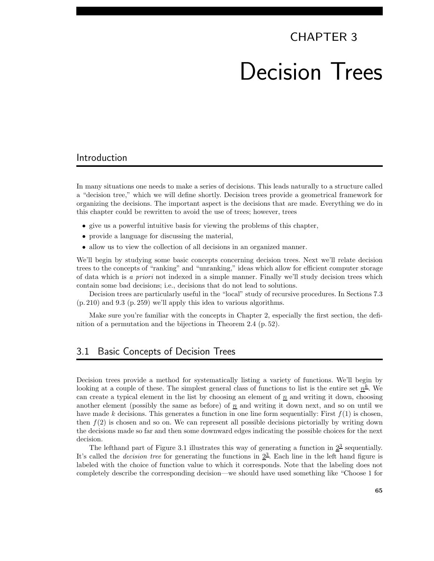# CHAPTER 3 Decision Trees

## Introduction

In many situations one needs to make a series of decisions. This leads naturally to a structure called a "decision tree," which we will define shortly. Decision trees provide a geometrical framework for organizing the decisions. The important aspect is the decisions that are made. Everything we do in this chapter could be rewritten to avoid the use of trees; however, trees

- give us a powerful intuitive basis for viewing the problems of this chapter,
- provide a language for discussing the material,
- allow us to view the collection of all decisions in an organized manner.

We'll begin by studying some basic concepts concerning decision trees. Next we'll relate decision trees to the concepts of "ranking" and "unranking," ideas which allow for efficient computer storage of data which is a priori not indexed in a simple manner. Finally we'll study decision trees which contain some bad decisions; i.e., decisions that do not lead to solutions.

Decision trees are particularly useful in the "local" study of recursive procedures. In Sections 7.3 (p. 210) and 9.3 (p. 259) we'll apply this idea to various algorithms.

Make sure you're familiar with the concepts in Chapter 2, especially the first section, the definition of a permutation and the bijections in Theorem 2.4 (p. 52).

# 3.1 Basic Concepts of Decision Trees

Decision trees provide a method for systematically listing a variety of functions. We'll begin by looking at a couple of these. The simplest general class of functions to list is the entire set  $\underline{n}^{\underline{k}}$ . We can create a typical element in the list by choosing an element of  $\overline{n}$  and writing it down, choosing another element (possibly the same as before) of  $n$  and writing it down next, and so on until we have made k decisions. This generates a function in one line form sequentially: First  $f(1)$  is chosen, then  $f(2)$  is chosen and so on. We can represent all possible decisions pictorially by writing down the decisions made so far and then some downward edges indicating the possible choices for the next decision.

The lefthand part of Figure 3.1 illustrates this way of generating a function in  $2^3$  sequentially. It's called the *decision tree* for generating the functions in  $2^3$ . Each line in the left hand figure is labeled with the choice of function value to which it corresponds. Note that the labeling does not completely describe the corresponding decision—we should have used something like "Choose 1 for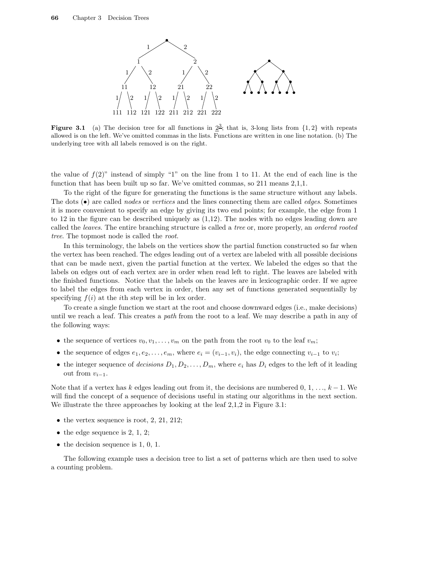

Figure 3.1 (a) The decision tree for all functions in  $2^3$ ; that is, 3-long lists from  $\{1,2\}$  with repeats allowed is on the left. We've omitted commas in the lists. Functions are written in one line notation. (b) The underlying tree with all labels removed is on the right.

the value of  $f(2)$ " instead of simply "1" on the line from 1 to 11. At the end of each line is the function that has been built up so far. We've omitted commas, so 211 means 2,1,1.

To the right of the figure for generating the functions is the same structure without any labels. The dots  $\left( \bullet \right)$  are called *nodes* or *vertices* and the lines connecting them are called *edges*. Sometimes it is more convenient to specify an edge by giving its two end points; for example, the edge from 1 to 12 in the figure can be described uniquely as (1,12). The nodes with no edges leading down are called the leaves. The entire branching structure is called a tree or, more properly, an ordered rooted tree. The topmost node is called the root.

In this terminology, the labels on the vertices show the partial function constructed so far when the vertex has been reached. The edges leading out of a vertex are labeled with all possible decisions that can be made next, given the partial function at the vertex. We labeled the edges so that the labels on edges out of each vertex are in order when read left to right. The leaves are labeled with the finished functions. Notice that the labels on the leaves are in lexicographic order. If we agree to label the edges from each vertex in order, then any set of functions generated sequentially by specifying  $f(i)$  at the *i*th step will be in lex order.

To create a single function we start at the root and choose downward edges (i.e., make decisions) until we reach a leaf. This creates a path from the root to a leaf. We may describe a path in any of the following ways:

- the sequence of vertices  $v_0, v_1, \ldots, v_m$  on the path from the root  $v_0$  to the leaf  $v_m$ ;
- the sequence of edges  $e_1, e_2, \ldots, e_m$ , where  $e_i = (v_{i-1}, v_i)$ , the edge connecting  $v_{i-1}$  to  $v_i$ ;
- the integer sequence of decisions  $D_1, D_2, \ldots, D_m$ , where  $e_i$  has  $D_i$  edges to the left of it leading out from  $v_{i-1}$ .

Note that if a vertex has k edges leading out from it, the decisions are numbered  $0, 1, \ldots, k-1$ . We will find the concept of a sequence of decisions useful in stating our algorithms in the next section. We illustrate the three approaches by looking at the leaf  $2,1,2$  in Figure 3.1:

- $\bullet$  the vertex sequence is root, 2, 21, 212;
- $\bullet$  the edge sequence is 2, 1, 2;
- the decision sequence is  $1, 0, 1$ .

The following example uses a decision tree to list a set of patterns which are then used to solve a counting problem.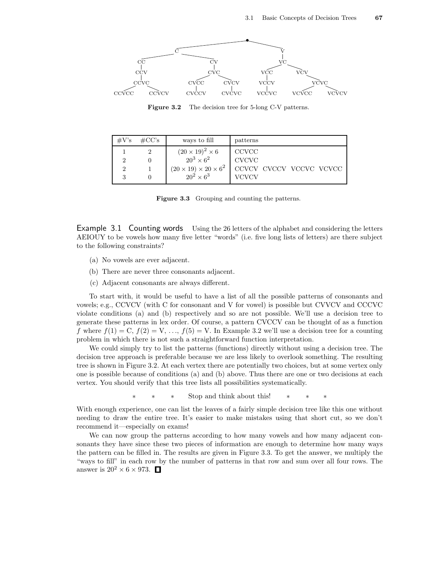

**Figure 3.2** The decision tree for 5-long C-V patterns.

| $\#V$ 's | $\#CC's$ | ways to fill                          | patterns                |
|----------|----------|---------------------------------------|-------------------------|
|          |          | $(20 \times 19)^2 \times 6$           | <b>CCVCC</b>            |
|          |          | $20^3 \times 6^2$                     | <b>CVCVC</b>            |
|          |          | $(20 \times 19) \times 20 \times 6^2$ | CCVCV CVCCV VCCVC VCVCC |
|          |          | $20^2 \times 6^3$                     | <b>VCVCV</b>            |

Figure 3.3 Grouping and counting the patterns.

Example 3.1 Counting words Using the 26 letters of the alphabet and considering the letters AEIOUY to be vowels how many five letter "words" (i.e. five long lists of letters) are there subject to the following constraints?

- (a) No vowels are ever adjacent.
- (b) There are never three consonants adjacent.
- (c) Adjacent consonants are always different.

To start with, it would be useful to have a list of all the possible patterns of consonants and vowels; e.g., CCVCV (with C for consonant and V for vowel) is possible but CVVCV and CCCVC violate conditions (a) and (b) respectively and so are not possible. We'll use a decision tree to generate these patterns in lex order. Of course, a pattern CVCCV can be thought of as a function f where  $f(1) = C$ ,  $f(2) = V$ , ...,  $f(5) = V$ . In Example 3.2 we'll use a decision tree for a counting problem in which there is not such a straightforward function interpretation.

We could simply try to list the patterns (functions) directly without using a decision tree. The decision tree approach is preferable because we are less likely to overlook something. The resulting tree is shown in Figure 3.2. At each vertex there are potentially two choices, but at some vertex only one is possible because of conditions (a) and (b) above. Thus there are one or two decisions at each vertex. You should verify that this tree lists all possibilities systematically.

∗ ∗ ∗ Stop and think about this! ∗ ∗ ∗

With enough experience, one can list the leaves of a fairly simple decision tree like this one without needing to draw the entire tree. It's easier to make mistakes using that short cut, so we don't recommend it—especially on exams!

We can now group the patterns according to how many vowels and how many adjacent consonants they have since these two pieces of information are enough to determine how many ways the pattern can be filled in. The results are given in Figure 3.3. To get the answer, we multiply the "ways to fill" in each row by the number of patterns in that row and sum over all four rows. The answer is  $20^2 \times 6 \times 973$ .  $\Box$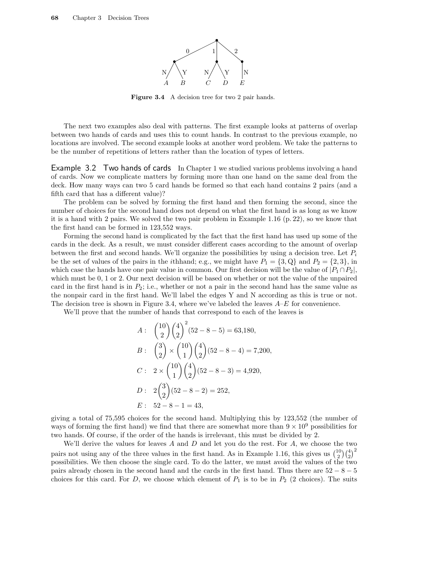

Figure 3.4 A decision tree for two 2 pair hands.

The next two examples also deal with patterns. The first example looks at patterns of overlap between two hands of cards and uses this to count hands. In contrast to the previous example, no locations are involved. The second example looks at another word problem. We take the patterns to be the number of repetitions of letters rather than the location of types of letters.

Example 3.2 Two hands of cards In Chapter 1 we studied various problems involving a hand of cards. Now we complicate matters by forming more than one hand on the same deal from the deck. How many ways can two 5 card hands be formed so that each hand contains 2 pairs (and a fifth card that has a different value)?

The problem can be solved by forming the first hand and then forming the second, since the number of choices for the second hand does not depend on what the first hand is as long as we know it is a hand with 2 pairs. We solved the two pair problem in Example 1.16 (p. 22), so we know that the first hand can be formed in 123,552 ways.

Forming the second hand is complicated by the fact that the first hand has used up some of the cards in the deck. As a result, we must consider different cases according to the amount of overlap between the first and second hands. We'll organize the possibilities by using a decision tree. Let  $P_i$ be the set of values of the pairs in the *i*thhand; e.g., we might have  $P_1 = \{3, Q\}$  and  $P_2 = \{2, 3\}$ , in which case the hands have one pair value in common. Our first decision will be the value of  $|P_1 \cap P_2|$ , which must be 0, 1 or 2. Our next decision will be based on whether or not the value of the unpaired card in the first hand is in  $P_2$ ; i.e., whether or not a pair in the second hand has the same value as the nonpair card in the first hand. We'll label the edges Y and N according as this is true or not. The decision tree is shown in Figure 3.4, where we've labeled the leaves  $A-E$  for convenience.

We'll prove that the number of hands that correspond to each of the leaves is

$$
A: \binom{10}{2} \binom{4}{2}^2 (52 - 8 - 5) = 63,180,
$$
  
\n
$$
B: \binom{3}{2} \times \binom{10}{1} \binom{4}{2} (52 - 8 - 4) = 7,200,
$$
  
\n
$$
C: 2 \times \binom{10}{1} \binom{4}{2} (52 - 8 - 3) = 4,920,
$$
  
\n
$$
D: 2 \binom{3}{2} (52 - 8 - 2) = 252,
$$
  
\n
$$
E: 52 - 8 - 1 = 43,
$$

giving a total of 75,595 choices for the second hand. Multiplying this by 123,552 (the number of ways of forming the first hand) we find that there are somewhat more than  $9 \times 10^9$  possibilities for two hands. Of course, if the order of the hands is irrelevant, this must be divided by 2.

We'll derive the values for leaves  $A$  and  $D$  and let you do the rest. For  $A$ , we choose the two pairs not using any of the three values in the first hand. As in Example 1.16, this gives us  $\binom{10}{2}\binom{4}{2}^2$ possibilities. We then choose the single card. To do the latter, we must avoid the values of the two pairs already chosen in the second hand and the cards in the first hand. Thus there are  $52 - 8 - 5$ choices for this card. For D, we choose which element of  $P_1$  is to be in  $P_2$  (2 choices). The suits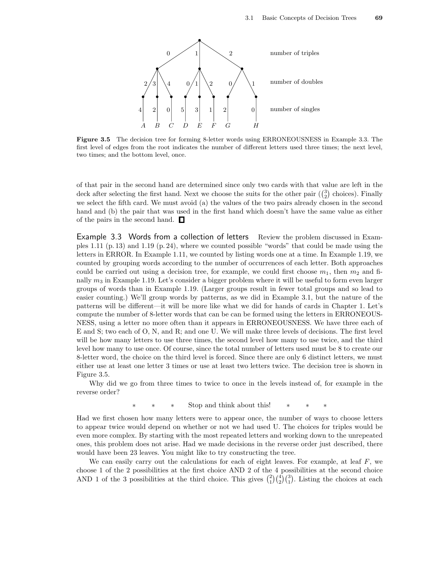

Figure 3.5 The decision tree for forming 8-letter words using ERRONEOUSNESS in Example 3.3. The first level of edges from the root indicates the number of different letters used three times; the next level, two times; and the bottom level, once.

of that pair in the second hand are determined since only two cards with that value are left in the deck after selecting the first hand. Next we choose the suits for the other pair  $\binom{3}{2}$  choices). Finally we select the fifth card. We must avoid (a) the values of the two pairs already chosen in the second hand and (b) the pair that was used in the first hand which doesn't have the same value as either of the pairs in the second hand.  $\square$ 

Example 3.3 Words from a collection of letters Review the problem discussed in Examples 1.11 (p. 13) and 1.19 (p. 24), where we counted possible "words" that could be made using the letters in ERROR. In Example 1.11, we counted by listing words one at a time. In Example 1.19, we counted by grouping words according to the number of occurrences of each letter. Both approaches could be carried out using a decision tree, for example, we could first choose  $m_1$ , then  $m_2$  and finally  $m<sub>3</sub>$  in Example 1.19. Let's consider a bigger problem where it will be useful to form even larger groups of words than in Example 1.19. (Larger groups result in fewer total groups and so lead to easier counting.) We'll group words by patterns, as we did in Example 3.1, but the nature of the patterns will be different—it will be more like what we did for hands of cards in Chapter 1. Let's compute the number of 8-letter words that can be can be formed using the letters in ERRONEOUS-NESS, using a letter no more often than it appears in ERRONEOUSNESS. We have three each of E and S; two each of O, N, and R; and one U. We will make three levels of decisions. The first level will be how many letters to use three times, the second level how many to use twice, and the third level how many to use once. Of course, since the total number of letters used must be 8 to create our 8-letter word, the choice on the third level is forced. Since there are only 6 distinct letters, we must either use at least one letter 3 times or use at least two letters twice. The decision tree is shown in Figure 3.5.

Why did we go from three times to twice to once in the levels instead of, for example in the reverse order?

Stop and think about this!

Had we first chosen how many letters were to appear once, the number of ways to choose letters to appear twice would depend on whether or not we had used U. The choices for triples would be even more complex. By starting with the most repeated letters and working down to the unrepeated ones, this problem does not arise. Had we made decisions in the reverse order just described, there would have been 23 leaves. You might like to try constructing the tree.

We can easily carry out the calculations for each of eight leaves. For example, at leaf  $F$ , we choose 1 of the 2 possibilities at the first choice AND 2 of the 4 possibilities at the second choice AND 1 of the 3 possibilities at the third choice. This gives  $\binom{2}{1}\binom{4}{2}\binom{3}{1}$ . Listing the choices at each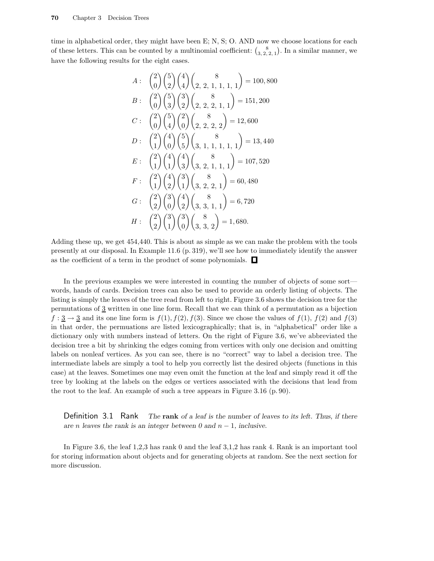time in alphabetical order, they might have been E; N, S; O. AND now we choose locations for each of these letters. This can be counted by a multinomial coefficient:  $\binom{8}{3,2,2,1}$ . In a similar manner, we have the following results for the eight cases.

$$
A: \begin{pmatrix} 2 \\ 0 \end{pmatrix} \begin{pmatrix} 5 \\ 2 \end{pmatrix} \begin{pmatrix} 4 \\ 4 \end{pmatrix} \begin{pmatrix} 8 \\ 2, 2, 1, 1, 1, 1 \end{pmatrix} = 100,800
$$
  
\n
$$
B: \begin{pmatrix} 2 \\ 0 \end{pmatrix} \begin{pmatrix} 5 \\ 3 \end{pmatrix} \begin{pmatrix} 3 \\ 2 \end{pmatrix} \begin{pmatrix} 8 \\ 2, 2, 2, 1, 1 \end{pmatrix} = 151,200
$$
  
\n
$$
C: \begin{pmatrix} 2 \\ 0 \end{pmatrix} \begin{pmatrix} 5 \\ 4 \end{pmatrix} \begin{pmatrix} 2 \\ 0 \end{pmatrix} \begin{pmatrix} 8 \\ 2, 2, 2, 2 \end{pmatrix} = 12,600
$$
  
\n
$$
D: \begin{pmatrix} 2 \\ 1 \end{pmatrix} \begin{pmatrix} 4 \\ 0 \end{pmatrix} \begin{pmatrix} 5 \\ 5 \end{pmatrix} \begin{pmatrix} 8 \\ 3, 1, 1, 1, 1, 1 \end{pmatrix} = 13,440
$$
  
\n
$$
E: \begin{pmatrix} 2 \\ 1 \end{pmatrix} \begin{pmatrix} 4 \\ 1 \end{pmatrix} \begin{pmatrix} 4 \\ 3 \end{pmatrix} \begin{pmatrix} 8 \\ 3, 2, 1, 1, 1 \end{pmatrix} = 107,520
$$
  
\n
$$
F: \begin{pmatrix} 2 \\ 1 \end{pmatrix} \begin{pmatrix} 4 \\ 2 \end{pmatrix} \begin{pmatrix} 3 \\ 1 \end{pmatrix} \begin{pmatrix} 8 \\ 3, 3, 1, 1 \end{pmatrix} = 60,480
$$
  
\n
$$
G: \begin{pmatrix} 2 \\ 2 \end{pmatrix} \begin{pmatrix} 3 \\ 0 \end{pmatrix} \begin{pmatrix} 4 \\ 2 \end{pmatrix} \begin{pmatrix} 8 \\ 3, 3, 1, 1 \end{pmatrix} = 6,720
$$
  
\n
$$
H: \begin{pmatrix} 2 \\ 2 \end{pmatrix} \begin{pmatrix} 3 \\ 3 \end{pmatrix} \begin{pmatrix} 3 \\
$$

Adding these up, we get 454,440. This is about as simple as we can make the problem with the tools presently at our disposal. In Example 11.6 (p. 319), we'll see how to immediately identify the answer as the coefficient of a term in the product of some polynomials.  $\Box$ 

In the previous examples we were interested in counting the number of objects of some sort words, hands of cards. Decision trees can also be used to provide an orderly listing of objects. The listing is simply the leaves of the tree read from left to right. Figure 3.6 shows the decision tree for the permutations of 3 written in one line form. Recall that we can think of a permutation as a bijection  $f: 3 \rightarrow 3$  and its one line form is  $f(1), f(2), f(3)$ . Since we chose the values of  $f(1), f(2)$  and  $f(3)$ in that order, the permuations are listed lexicographically; that is, in "alphabetical" order like a dictionary only with numbers instead of letters. On the right of Figure 3.6, we've abbreviated the decision tree a bit by shrinking the edges coming from vertices with only one decision and omitting labels on nonleaf vertices. As you can see, there is no "correct" way to label a decision tree. The intermediate labels are simply a tool to help you correctly list the desired objects (functions in this case) at the leaves. Sometimes one may even omit the function at the leaf and simply read it off the tree by looking at the labels on the edges or vertices associated with the decisions that lead from the root to the leaf. An example of such a tree appears in Figure 3.16 (p. 90).

Definition 3.1 Rank The rank of a leaf is the number of leaves to its left. Thus, if there are n leaves the rank is an integer between 0 and  $n-1$ , inclusive.

In Figure 3.6, the leaf 1,2,3 has rank 0 and the leaf 3,1,2 has rank 4. Rank is an important tool for storing information about objects and for generating objects at random. See the next section for more discussion.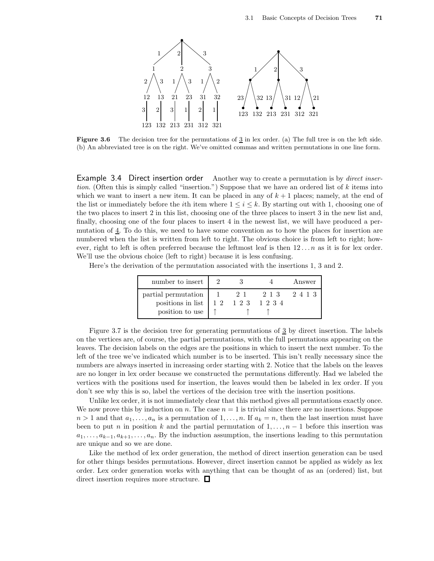

**Figure 3.6** The decision tree for the permutations of  $\frac{3}{2}$  in lex order. (a) The full tree is on the left side. (b) An abbreviated tree is on the right. We've omitted commas and written permutations in one line form.

Example 3.4 Direct insertion order Another way to create a permutation is by *direct inser*tion. (Often this is simply called "insertion.") Suppose that we have an ordered list of k items into which we want to insert a new item. It can be placed in any of  $k+1$  places; namely, at the end of the list or immediately before the *i*th item where  $1 \leq i \leq k$ . By starting out with 1, choosing one of the two places to insert 2 in this list, choosing one of the three places to insert 3 in the new list and, finally, choosing one of the four places to insert 4 in the newest list, we will have produced a permutation of  $\underline{4}$ . To do this, we need to have some convention as to how the places for insertion are numbered when the list is written from left to right. The obvious choice is from left to right; however, right to left is often preferred because the leftmost leaf is then  $12 \ldots n$  as it is for lex order. We'll use the obvious choice (left to right) because it is less confusing.

Here's the derivation of the permutation associated with the insertions 1, 3 and 2.

| number to insert                                            |        |                |             | Answer |
|-------------------------------------------------------------|--------|----------------|-------------|--------|
| partial permutation<br>positions in list<br>position to use | $1\,2$ | $2 - 1$<br>123 | 213<br>1234 | 2413   |

Figure 3.7 is the decision tree for generating permutations of 3 by direct insertion. The labels on the vertices are, of course, the partial permutations, with the full permutations appearing on the leaves. The decision labels on the edges are the positions in which to insert the next number. To the left of the tree we've indicated which number is to be inserted. This isn't really necessary since the numbers are always inserted in increasing order starting with 2. Notice that the labels on the leaves are no longer in lex order because we constructed the permutations differently. Had we labeled the vertices with the positions used for insertion, the leaves would then be labeled in lex order. If you don't see why this is so, label the vertices of the decision tree with the insertion positions.

Unlike lex order, it is not immediately clear that this method gives all permutations exactly once. We now prove this by induction on n. The case  $n = 1$  is trivial since there are no insertions. Suppose  $n > 1$  and that  $a_1, \ldots, a_n$  is a permutation of  $1, \ldots, n$ . If  $a_k = n$ , then the last insertion must have been to put n in position k and the partial permutation of  $1, \ldots, n-1$  before this insertion was  $a_1, \ldots, a_{k-1}, a_{k+1}, \ldots, a_n$ . By the induction assumption, the insertions leading to this permutation are unique and so we are done.

Like the method of lex order generation, the method of direct insertion generation can be used for other things besides permutations. However, direct insertion cannot be applied as widely as lex order. Lex order generation works with anything that can be thought of as an (ordered) list, but direct insertion requires more structure.  $\Box$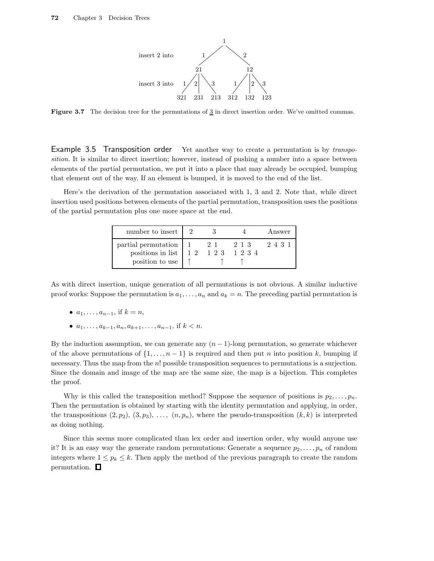

Figure 3.7 The decision tree for the permutations of 3 in direct insertion order. We've omitted commas.

Example 3.5 Transposition order Yet another way to create a permutation is by transposition. It is similar to direct insertion; however, instead of pushing a number into a space between elements of the partial permutation, we put it into a place that may already be occupied, bumping that element out of the way. If an element is bumped, it is moved to the end of the list.

Here's the derivation of the permutation associated with 1, 3 and 2. Note that, while direct insertion used positions between elements of the partial permutation, transposition uses the positions of the partial permutation plus one more space at the end.

| number to insert                                            |       |             | Answer |
|-------------------------------------------------------------|-------|-------------|--------|
| partial permutation<br>positions in list<br>position to use | 1 2 3 | 213<br>1234 | 2431   |

As with direct insertion, unique generation of all permutations is not obvious. A similar inductive proof works: Suppose the permutation is  $a_1, \ldots, a_n$  and  $a_k = n$ . The preceding partial permutation is

- $a_1, \ldots, a_{n-1}$ , if  $k = n$ ,
- $a_1, \ldots, a_{k-1}, a_n, a_{k+1}, \ldots, a_{n-1}$ , if  $k < n$ .

By the induction assumption, we can generate any  $(n-1)$ -long permutation, so generate whichever of the above permutations of  $\{1, \ldots, n-1\}$  is required and then put n into position k, bumping if necessary. Thus the map from the n! possible transposition sequences to permutations is a surjection. Since the domain and image of the map are the same size, the map is a bijection. This completes the proof.

Why is this called the transposition method? Suppose the sequence of positions is  $p_2, \ldots, p_n$ . Then the permutation is obtained by starting with the identity permutation and applying, in order, the transpositions  $(2, p_2), (3, p_3), \ldots, (n, p_n)$ , where the pseudo-transposition  $(k, k)$  is interpreted as doing nothing.

Since this seems more complicated than lex order and insertion order, why would anyone use it? It is an easy way the generate random permutations: Generate a sequence  $p_2, \ldots, p_n$  of random integers where  $1 \leq p_k \leq k$ . Then apply the method of the previous paragraph to create the random permutation.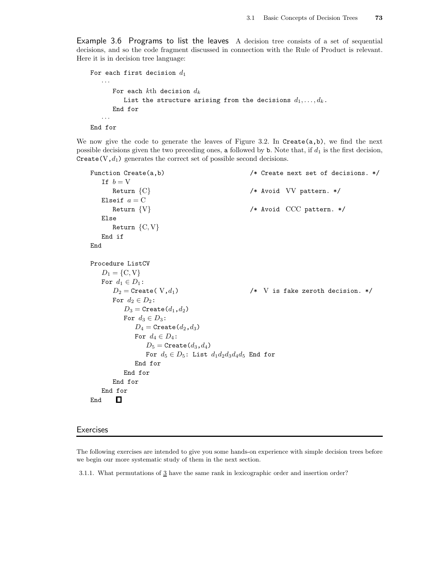Example 3.6 Programs to list the leaves A decision tree consists of a set of sequential decisions, and so the code fragment discussed in connection with the Rule of Product is relevant. Here it is in decision tree language:

```
For each first decision d_1· · ·
      For each kth decision d_kList the structure arising from the decisions d_1, \ldots, d_k.
      End for
   · · ·
End for
```
We now give the code to generate the leaves of Figure 3.2. In  $Create(a, b)$ , we find the next possible decisions given the two preceding ones, a followed by b. Note that, if  $d_1$  is the first decision, Create(V, $d_1$ ) generates the correct set of possible second decisions.

```
Function Create(a,b) \qquad /* Create next set of decisions. */
   If b = VReturn \{C\} /* Avoid VV pattern. */
   Elseif a = CReturn \{V\} /* Avoid CCC pattern. */
   Else
      Return \{C, V\}End if
End
Procedure ListCV
   D_1 = \{C, V\}For d_1 \in D_1:
      D_2 = Create( V,d_1) \longrightarrow \longrightarrow V is fake zeroth decision. */
      For d_2 \in D_2:
         D_3 = Create(d_1, d_2)
         For d_3 \in D_3:
            D_4 = Create(d_2,d_3)
            For d_4 \in D_4:
               D_5 = Create(d_3,d_4)
               For d_5 \in D_5: List d_1d_2d_3d_4d_5 End for
            End for
         End for
      End for
   End for
End
       ◨
```
#### **Exercises**

The following exercises are intended to give you some hands-on experience with simple decision trees before we begin our more systematic study of them in the next section.

3.1.1. What permutations of  $3$  have the same rank in lexicographic order and insertion order?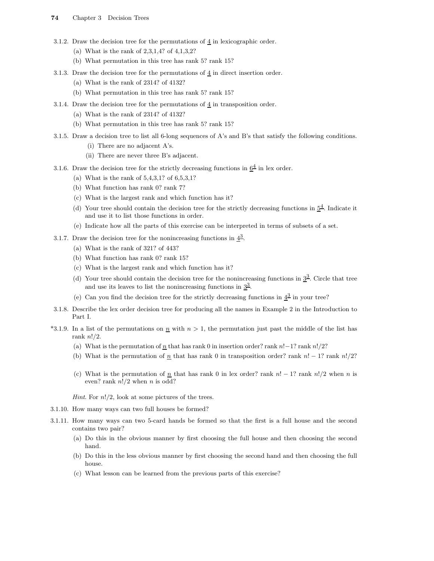- 3.1.2. Draw the decision tree for the permutations of  $\frac{4}{3}$  in lexicographic order.
	- (a) What is the rank of 2,3,1,4? of 4,1,3,2?
	- (b) What permutation in this tree has rank 5? rank 15?
- 3.1.3. Draw the decision tree for the permutations of  $\underline{4}$  in direct insertion order.
	- (a) What is the rank of 2314? of 4132?
	- (b) What permutation in this tree has rank 5? rank 15?
- 3.1.4. Draw the decision tree for the permutations of  $\frac{4}{3}$  in transposition order.
	- (a) What is the rank of 2314? of 4132?
	- (b) What permutation in this tree has rank 5? rank 15?
- 3.1.5. Draw a decision tree to list all 6-long sequences of A's and B's that satisfy the following conditions.
	- (i) There are no adjacent A's.
	- (ii) There are never three B's adjacent.
- 3.1.6. Draw the decision tree for the strictly decreasing functions in  $\underline{6}^{\underline{4}}$  in lex order.
	- (a) What is the rank of 5,4,3,1? of 6,5,3,1?
	- (b) What function has rank 0? rank 7?
	- (c) What is the largest rank and which function has it?
	- (d) Your tree should contain the decision tree for the strictly decreasing functions in  $5^{\frac{4}{2}}$ . Indicate it and use it to list those functions in order.
	- (e) Indicate how all the parts of this exercise can be interpreted in terms of subsets of a set.
- 3.1.7. Draw the decision tree for the nonincreasing functions in  $4^3$ .
	- (a) What is the rank of 321? of 443?
	- (b) What function has rank 0? rank 15?
	- (c) What is the largest rank and which function has it?
	- (d) Your tree should contain the decision tree for the nonincreasing functions in  $3^3$ . Circle that tree and use its leaves to list the nonincreasing functions in  $3^3$ .
	- (e) Can you find the decision tree for the strictly decreasing functions in  $4^3$  in your tree?
- 3.1.8. Describe the lex order decision tree for producing all the names in Example 2 in the Introduction to Part I.
- \*3.1.9. In a list of the permutations on  $\underline{n}$  with  $n > 1$ , the permutation just past the middle of the list has rank n!/2.
	- (a) What is the permutation of  $\underline{n}$  that has rank 0 in insertion order? rank  $n!-1$ ? rank  $n!/2$ ?
	- (b) What is the permutation of  $\underline{n}$  that has rank 0 in transposition order? rank  $n! 1$ ? rank  $n!/2$ ?
	- (c) What is the permutation of  $\underline{n}$  that has rank 0 in lex order? rank  $n! 1$ ? rank  $n!/2$  when n is even? rank  $n!/2$  when n is odd?

*Hint.* For  $n!/2$ , look at some pictures of the trees.

- 3.1.10. How many ways can two full houses be formed?
- 3.1.11. How many ways can two 5-card hands be formed so that the first is a full house and the second contains two pair?
	- (a) Do this in the obvious manner by first choosing the full house and then choosing the second hand.
	- (b) Do this in the less obvious manner by first choosing the second hand and then choosing the full house.
	- (c) What lesson can be learned from the previous parts of this exercise?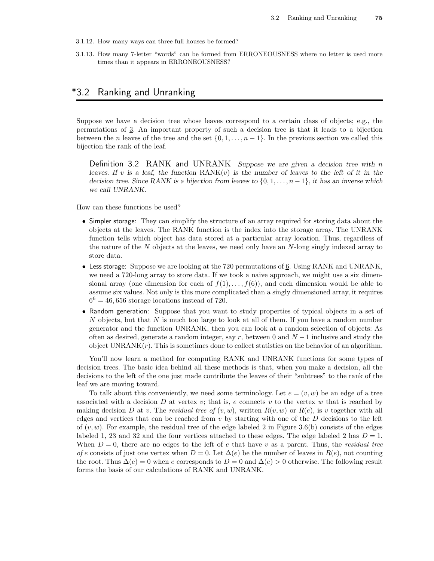- 3.1.12. How many ways can three full houses be formed?
- 3.1.13. How many 7-letter "words" can be formed from ERRONEOUSNESS where no letter is used more times than it appears in ERRONEOUSNESS?

## \*3.2 Ranking and Unranking

Suppose we have a decision tree whose leaves correspond to a certain class of objects; e.g., the permutations of 3. An important property of such a decision tree is that it leads to a bijection between the n leaves of the tree and the set  $\{0, 1, \ldots, n-1\}$ . In the previous section we called this bijection the rank of the leaf.

Definition 3.2 RANK and UNRANK Suppose we are given a decision tree with  $n$ leaves. If v is a leaf, the function  $\text{RANK}(v)$  is the number of leaves to the left of it in the decision tree. Since RANK is a bijection from leaves to  $\{0, 1, \ldots, n-1\}$ , it has an inverse which we call UNRANK.

How can these functions be used?

- Simpler storage: They can simplify the structure of an array required for storing data about the objects at the leaves. The RANK function is the index into the storage array. The UNRANK function tells which object has data stored at a particular array location. Thus, regardless of the nature of the N objects at the leaves, we need only have an  $N$ -long singly indexed array to store data.
- Less storage: Suppose we are looking at the 720 permutations of  $\underline{6}$ . Using RANK and UNRANK, we need a 720-long array to store data. If we took a naive approach, we might use a six dimensional array (one dimension for each of  $f(1), \ldots, f(6)$ ), and each dimension would be able to assume six values. Not only is this more complicated than a singly dimensioned array, it requires  $6<sup>6</sup> = 46,656$  storage locations instead of 720.
- Random generation: Suppose that you want to study properties of typical objects in a set of  $N$  objects, but that  $N$  is much too large to look at all of them. If you have a random number generator and the function UNRANK, then you can look at a random selection of objects: As often as desired, generate a random integer, say r, between 0 and  $N-1$  inclusive and study the object  $\text{UNRANK}(r)$ . This is sometimes done to collect statistics on the behavior of an algorithm.

You'll now learn a method for computing RANK and UNRANK functions for some types of decision trees. The basic idea behind all these methods is that, when you make a decision, all the decisions to the left of the one just made contribute the leaves of their "subtrees" to the rank of the leaf we are moving toward.

To talk about this conveniently, we need some terminology. Let  $e = (v, w)$  be an edge of a tree associated with a decision D at vertex v; that is, e connects v to the vertex w that is reached by making decision D at v. The residual tree of  $(v, w)$ , written  $R(v, w)$  or  $R(e)$ , is v together with all edges and vertices that can be reached from  $v$  by starting with one of the  $D$  decisions to the left of  $(v, w)$ . For example, the residual tree of the edge labeled 2 in Figure 3.6(b) consists of the edges labeled 1, 23 and 32 and the four vertices attached to these edges. The edge labeled 2 has  $D = 1$ . When  $D = 0$ , there are no edges to the left of e that have v as a parent. Thus, the residual tree of e consists of just one vertex when  $D = 0$ . Let  $\Delta(e)$  be the number of leaves in  $R(e)$ , not counting the root. Thus  $\Delta(e) = 0$  when e corresponds to  $D = 0$  and  $\Delta(e) > 0$  otherwise. The following result forms the basis of our calculations of RANK and UNRANK.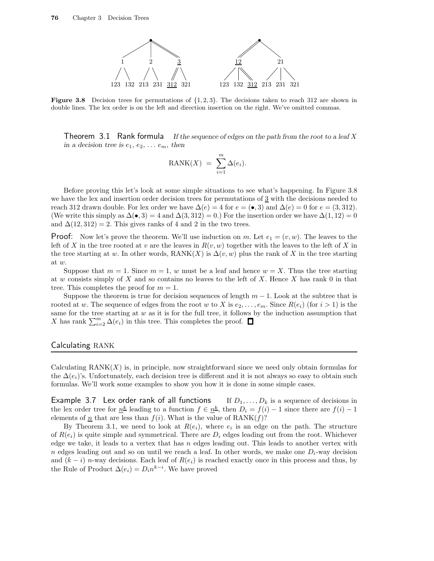

**Figure 3.8** Decision trees for permutations of  $\{1, 2, 3\}$ . The decisions taken to reach 312 are shown in double lines. The lex order is on the left and direction insertion on the right. We've omitted commas.

Theorem 3.1 Rank formula If the sequence of edges on the path from the root to a leaf X in a decision tree is  $e_1, e_2, \ldots e_m$ , then

$$
RANK(X) = \sum_{i=1}^{m} \Delta(e_i).
$$

Before proving this let's look at some simple situations to see what's happening. In Figure 3.8 we have the lex and insertion order decision trees for permutations of 3 with the decisions needed to reach 312 drawn double. For lex order we have  $\Delta(e) = 4$  for  $e = (\bullet, 3)$  and  $\Delta(e) = 0$  for  $e = (3, 312)$ . (We write this simply as  $\Delta(\bullet, 3) = 4$  and  $\Delta(3, 312) = 0$ .) For the insertion order we have  $\Delta(1, 12) = 0$ and  $\Delta(12, 312) = 2$ . This gives ranks of 4 and 2 in the two trees.

**Proof:** Now let's prove the theorem. We'll use induction on m. Let  $e_1 = (v, w)$ . The leaves to the left of X in the tree rooted at v are the leaves in  $R(v, w)$  together with the leaves to the left of X in the tree starting at w. In other words,  $\text{RANK}(X)$  is  $\Delta(v, w)$  plus the rank of X in the tree starting at w.

Suppose that  $m = 1$ . Since  $m = 1$ , w must be a leaf and hence  $w = X$ . Thus the tree starting at w consists simply of  $X$  and so contains no leaves to the left of  $X$ . Hence  $X$  has rank 0 in that tree. This completes the proof for  $m = 1$ .

Suppose the theorem is true for decision sequences of length  $m - 1$ . Look at the subtree that is rooted at w. The sequence of edges from the root w to X is  $e_2, \ldots, e_m$ . Since  $R(e_i)$  (for  $i > 1$ ) is the same for the tree starting at  $w$  as it is for the full tree, it follows by the induction assumption that X has rank  $\sum_{i=2}^{m} \Delta(e_i)$  in this tree. This completes the proof.

#### Calculating RANK

Calculating  $\text{RANK}(X)$  is, in principle, now straightforward since we need only obtain formulas for the  $\Delta(e_i)$ 's. Unfortunately, each decision tree is different and it is not always so easy to obtain such formulas. We'll work some examples to show you how it is done in some simple cases.

Example 3.7 Lex order rank of all functions If  $D_1, \ldots, D_k$  is a sequence of decisions in the lex order tree for  $\underline{n}^{\underline{k}}$  leading to a function  $f \in \underline{n}^{\underline{k}}$ , then  $D_i = f(i) - 1$  since there are  $f(i) - 1$ elements of  $\underline{n}$  that are less than  $f(i)$ . What is the value of RANK $(f)$ ?

By Theorem 3.1, we need to look at  $R(e_i)$ , where  $e_i$  is an edge on the path. The structure of  $R(e_i)$  is quite simple and symmetrical. There are  $D_i$  edges leading out from the root. Whichever edge we take, it leads to a vertex that has n edges leading out. This leads to another vertex with n edges leading out and so on until we reach a leaf. In other words, we make one  $D_i$ -way decision and  $(k - i)$  n-way decisions. Each leaf of  $R(e_i)$  is reached exactly once in this process and thus, by the Rule of Product  $\Delta(e_i) = D_i n^{k-i}$ . We have proved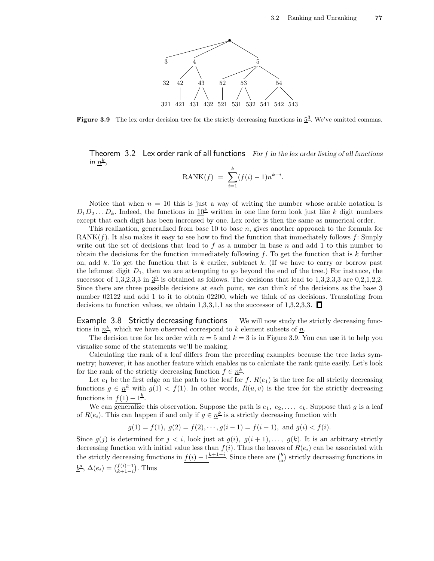

Figure 3.9 The lex order decision tree for the strictly decreasing functions in  $5^3$ . We've omitted commas.

Theorem 3.2 Lex order rank of all functions For f in the lex order listing of all functions in  $n_k^k$ ,

$$
RANK(f) = \sum_{i=1}^{k} (f(i) - 1)n^{k-i}.
$$

Notice that when  $n = 10$  this is just a way of writing the number whose arabic notation is  $D_1D_2...D_k$ . Indeed, the functions in  $\underline{10^k}$  written in one line form look just like k digit numbers except that each digit has been increased by one. Lex order is then the same as numerical order.

This realization, generalized from base 10 to base  $n$ , gives another approach to the formula for  $\text{RANK}(f)$ . It also makes it easy to see how to find the function that immediately follows f: Simply write out the set of decisions that lead to  $f$  as a number in base  $n$  and add 1 to this number to obtain the decisions for the function immediately following f. To get the function that is k further on, add k. To get the function that is k earlier, subtract k. (If we have to carry or borrow past the leftmost digit  $D_1$ , then we are attempting to go beyond the end of the tree.) For instance, the successor of 1,3,2,3,3 in  $\underline{3^5}$  is obtained as follows. The decisions that lead to 1,3,2,3,3 are 0,2,1,2,2. Since there are three possible decisions at each point, we can think of the decisions as the base 3 number 02122 and add 1 to it to obtain 02200, which we think of as decisions. Translating from decisions to function values, we obtain 1,3,3,1,1 as the successor of 1,3,2,3,3.  $\Box$ 

Example 3.8 Strictly decreasing functions We will now study the strictly decreasing functions in  $\underline{n}^{\underline{k}}$ , which we have observed correspond to k element subsets of  $\underline{n}$ .

The decision tree for lex order with  $n = 5$  and  $k = 3$  is in Figure 3.9. You can use it to help you visualize some of the statements we'll be making.

Calculating the rank of a leaf differs from the preceding examples because the tree lacks symmetry; however, it has another feature which enables us to calculate the rank quite easily. Let's look for the rank of the strictly decreasing function  $f \in \underline{n^k}$ .

Let  $e_1$  be the first edge on the path to the leaf for f.  $R(e_1)$  is the tree for all strictly decreasing functions  $g \in \underline{n}^{\underline{k}}$  with  $g(1) < f(1)$ . In other words,  $R(u, v)$  is the tree for the strictly decreasing functions in  $f(1) - 1^{\underline{k}}$ .

We can generalize this observation. Suppose the path is  $e_1, e_2, \ldots, e_k$ . Suppose that g is a leaf of  $R(e_i)$ . This can happen if and only if  $g \in \underline{n^k}$  is a strictly decreasing function with

$$
g(1) = f(1), g(2) = f(2), \dots, g(i-1) = f(i-1), \text{ and } g(i) < f(i).
$$

Since  $g(j)$  is determined for  $j < i$ , look just at  $g(i)$ ,  $g(i+1), \ldots, g(k)$ . It is an arbitrary strictly decreasing function with initial value less than  $f(i)$ . Thus the leaves of  $R(e_i)$  can be associated with the strictly decreasing functions in  $f(i) - 1^{k+1-i}$ . Since there are  $\binom{b}{a}$  strictly decreasing functions in  $\underline{b}^{\underline{a}}, \Delta(e_i) = \begin{pmatrix} f(i)-1 \\ k+1-i \end{pmatrix}$ . Thus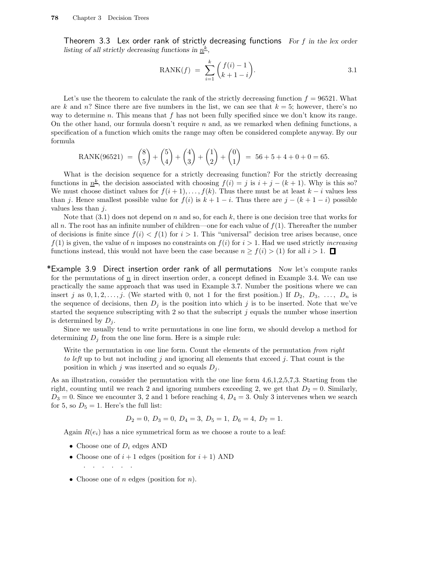Theorem 3.3 Lex order rank of strictly decreasing functions For f in the lex order listing of all strictly decreasing functions in  $n^{\underline{k}}$ ,

$$
RANK(f) = \sum_{i=1}^{k} {f(i) - 1 \choose k + 1 - i}.
$$
 3.1

Let's use the theorem to calculate the rank of the strictly decreasing function  $f = 96521$ . What are k and n? Since there are five numbers in the list, we can see that  $k = 5$ ; however, there's no way to determine n. This means that  $f$  has not been fully specified since we don't know its range. On the other hand, our formula doesn't require  $n$  and, as we remarked when defining functions, a specification of a function which omits the range may often be considered complete anyway. By our formula

$$
RANK(96521) = {8 \choose 5} + {5 \choose 4} + {4 \choose 3} + {1 \choose 2} + {0 \choose 1} = 56 + 5 + 4 + 0 + 0 = 65.
$$

What is the decision sequence for a strictly decreasing function? For the strictly decreasing functions in  $\underline{n}^{\underline{k}}$ , the decision associated with choosing  $f(i) = j$  is  $i + j - (k + 1)$ . Why is this so? We must choose distinct values for  $f(i + 1), \ldots, f(k)$ . Thus there must be at least  $k - i$  values less than j. Hence smallest possible value for  $f(i)$  is  $k + 1 - i$ . Thus there are  $j - (k + 1 - i)$  possible values less than  $j$ .

Note that  $(3.1)$  does not depend on n and so, for each k, there is one decision tree that works for all n. The root has an infinite number of children—one for each value of  $f(1)$ . Thereafter the number of decisions is finite since  $f(i) < f(1)$  for  $i > 1$ . This "universal" decision tree arises because, once  $f(1)$  is given, the value of n imposes no constraints on  $f(i)$  for  $i > 1$ . Had we used strictly *increasing* functions instead, this would not have been the case because  $n \geq f(i) > (1)$  for all  $i > 1$ .

\*Example 3.9 Direct insertion order rank of all permutations Now let's compute ranks for the permutations of n in direct insertion order, a concept defined in Example 3.4. We can use practically the same approach that was used in Example 3.7. Number the positions where we can insert j as  $0, 1, 2, \ldots, j$ . (We started with 0, not 1 for the first position.) If  $D_2, D_3, \ldots, D_n$  is the sequence of decisions, then  $D_j$  is the position into which j is to be inserted. Note that we've started the sequence subscripting with 2 so that the subscript  $j$  equals the number whose insertion is determined by  $D_i$ .

Since we usually tend to write permutations in one line form, we should develop a method for determining  $D_i$  from the one line form. Here is a simple rule:

Write the permutation in one line form. Count the elements of the permutation from right to left up to but not including j and ignoring all elements that exceed j. That count is the position in which j was inserted and so equals  $D_i$ .

As an illustration, consider the permutation with the one line form  $4,6,1,2,5,7,3$ . Starting from the right, counting until we reach 2 and ignoring numbers exceeding 2, we get that  $D_2 = 0$ . Similarly,  $D_3 = 0$ . Since we encounter 3, 2 and 1 before reaching 4,  $D_4 = 3$ . Only 3 intervenes when we search for 5, so  $D_5 = 1$ . Here's the full list:

$$
D_2 = 0, D_3 = 0, D_4 = 3, D_5 = 1, D_6 = 4, D_7 = 1.
$$

Again  $R(e_i)$  has a nice symmetrical form as we choose a route to a leaf:

- Choose one of  $D_i$  edges AND
- Choose one of  $i+1$  edges (position for  $i+1$ ) AND
	- . . . . . .
- Choose one of n edges (position for  $n$ ).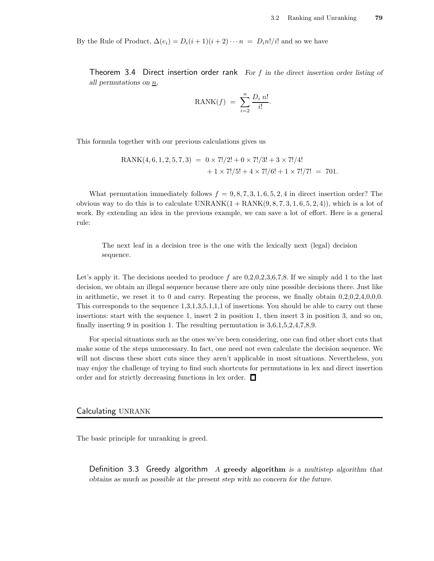By the Rule of Product,  $\Delta(e_i) = D_i(i+1)(i+2)\cdots n = D_i n!/i!$  and so we have

Theorem 3.4 Direct insertion order rank For f in the direct insertion order listing of all permutations on  $n$ ,

$$
RANK(f) = \sum_{i=2}^{n} \frac{D_i n!}{i!}.
$$

This formula together with our previous calculations gives us

$$
RANK(4, 6, 1, 2, 5, 7, 3) = 0 \times 7!/2! + 0 \times 7!/3! + 3 \times 7!/4!
$$
  
+ 1 \times 7!/5! + 4 \times 7!/6! + 1 \times 7!/7! = 701.

What permutation immediately follows  $f = 9, 8, 7, 3, 1, 6, 5, 2, 4$  in direct insertion order? The obvious way to do this is to calculate  $\text{UNRANK}(1 + \text{RANK}(9, 8, 7, 3, 1, 6, 5, 2, 4))$ , which is a lot of work. By extending an idea in the previous example, we can save a lot of effort. Here is a general rule:

The next leaf in a decision tree is the one with the lexically next (legal) decision sequence.

Let's apply it. The decisions needed to produce f are  $0,2,0,2,3,6,7,8$ . If we simply add 1 to the last decision, we obtain an illegal sequence because there are only nine possible decisions there. Just like in arithmetic, we reset it to 0 and carry. Repeating the process, we finally obtain 0,2,0,2,4,0,0,0. This corresponds to the sequence 1,3,1,3,5,1,1,1 of insertions. You should be able to carry out these insertions: start with the sequence 1, insert 2 in position 1, then insert 3 in position 3, and so on, finally inserting 9 in position 1. The resulting permutation is 3,6,1,5,2,4,7,8,9.

For special situations such as the ones we've been considering, one can find other short cuts that make some of the steps unnecessary. In fact, one need not even calculate the decision sequence. We will not discuss these short cuts since they aren't applicable in most situations. Nevertheless, you may enjoy the challenge of trying to find such shortcuts for permutations in lex and direct insertion order and for strictly decreasing functions in lex order.  $\Box$ 

#### Calculating UNRANK

The basic principle for unranking is greed.

Definition 3.3 Greedy algorithm A greedy algorithm is a multistep algorithm that obtains as much as possible at the present step with no concern for the future.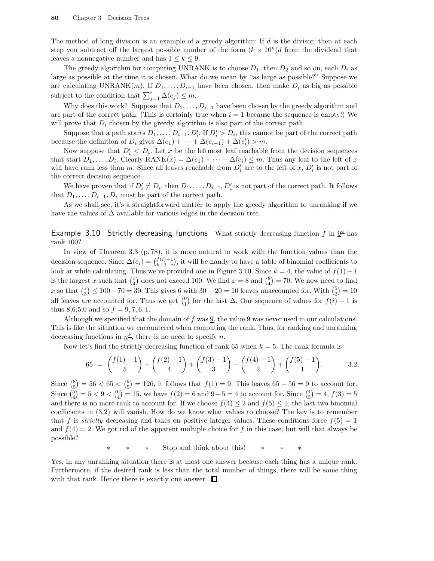The method of long division is an example of a greedy algorithm: If d is the divisor, then at each step you subtract off the largest possible number of the form  $(k \times 10^n)d$  from the dividend that leaves a nonnegative number and has  $1 \leq k \leq 9$ .

The greedy algorithm for computing UNRANK is to choose  $D_1$ , then  $D_2$  and so on, each  $D_i$  as large as possible at the time it is chosen. What do we mean by "as large as possible?" Suppose we are calculating UNRANK $(m)$ . If  $D_1, \ldots, D_{i-1}$  have been chosen, then make  $D_i$  as big as possible subject to the condition that  $\sum_{j=1}^{i} \Delta(e_j) \leq m$ .

Why does this work? Suppose that  $D_1, \ldots, D_{i-1}$  have been chosen by the greedy algorithm and are part of the correct path. (This is certainly true when  $i = 1$  because the sequence is empty!) We will prove that  $D_i$  chosen by the greedy algorithm is also part of the correct path.

Suppose that a path starts  $D_1, \ldots, D_{i-1}, D'_i$ . If  $D'_i > D_i$ , this cannot be part of the correct path because the definition of  $D_i$  gives  $\Delta(e_1) + \cdots + \Delta(e_{i-1}) + \Delta(e'_i) > m$ .

Now suppose that  $D_i' < D_i$ . Let x be the leftmost leaf reachable from the decision sequences that start  $D_1, \ldots, D_i$ . Clearly  $\text{RANK}(x) = \Delta(e_1) + \cdots + \Delta(e_i) \leq m$ . Thus any leaf to the left of x will have rank less than m. Since all leaves reachable from  $D_i'$  are to the left of x,  $D_i'$  is not part of the correct decision sequence.

We have proven that if  $D'_i \neq D_i$ , then  $D_1, \ldots, D_{i-1}, D'_i$  is not part of the correct path. It follows that  $D_1, \ldots, D_{i-1}, D_i$  must be part of the correct path.

As we shall see, it's a straightforward matter to apply the greedy algorithm to unranking if we have the values of  $\Delta$  available for various edges in the decision tree.

Example 3.10 Strictly decreasing functions What strictly decreasing function f in  $9^4$  has rank 100?

In view of Theorem 3.3 (p. 78), it is more natural to work with the function values than the decision sequence. Since  $\Delta(e_i) = \binom{f(i)-1}{k+1-i}$ , it will be handy to have a table of binomial coefficients to look at while calculating. Thus we've provided one in Figure 3.10. Since  $k = 4$ , the value of  $f(1) - 1$ is the largest x such that  $\binom{x}{4}$  $\binom{x}{4}$  does not exceed 100. We find  $x = 8$  and  $\binom{8}{4} = 70$ . We now need to find x so that  $\binom{x}{3} \le 100 - 70 = 30$ . This gives 6 with  $30 - 20 = 10$  leaves unaccounted for. With  $\binom{5}{2} = 10$ all leaves are accounted for. Thus we get  $\binom{0}{1}$  for the last  $\Delta$ . Our sequence of values for  $f(i) - 1$  is thus 8,6,5,0 and so  $f = 9, 7, 6, 1$ .

Although we specified that the domain of  $f$  was  $9$ , the value 9 was never used in our calculations. This is like the situation we encountered when computing the rank. Thus, for ranking and unranking decreasing functions in  $\underline{n^k}$ , there is no need to specify n.

Now let's find the strictly decreasing function of rank 65 when  $k = 5$ . The rank formula is

$$
65 = {f(1) - 1 \choose 5} + {f(2) - 1 \choose 4} + {f(3) - 1 \choose 3} + {f(4) - 1 \choose 2} + {f(5) - 1 \choose 1}. \qquad 3.2
$$

Since  $\binom{8}{5} = 56 < 65 < \binom{9}{5} = 126$ , it follows that  $f(1) = 9$ . This leaves  $65 - 56 = 9$  to account for. Since  $\binom{5}{4} = 5 < 9 < \binom{6}{4} = 15$ , we have  $f(2) = 6$  and  $9 - 5 = 4$  to account for. Since  $\binom{4}{3} = 4$ ,  $f(3) = 5$ and there is no more rank to account for. If we choose  $f(4) \leq 2$  and  $f(5) \leq 1$ , the last two binomial coefficients in (3.2) will vanish. How do we know what values to choose? The key is to remember that f is strictly decreasing and takes on positive integer values. These conditions force  $f(5) = 1$ and  $f(4) = 2$ . We got rid of the apparent multiple choice for f in this case, but will that always be possible?

∗ ∗ ∗ Stop and think about this! ∗ ∗ ∗

Yes, in any unranking situation there is at most one answer because each thing has a unique rank. Furthermore, if the desired rank is less than the total number of things, there will be some thing with that rank. Hence there is exactly one answer.  $\Box$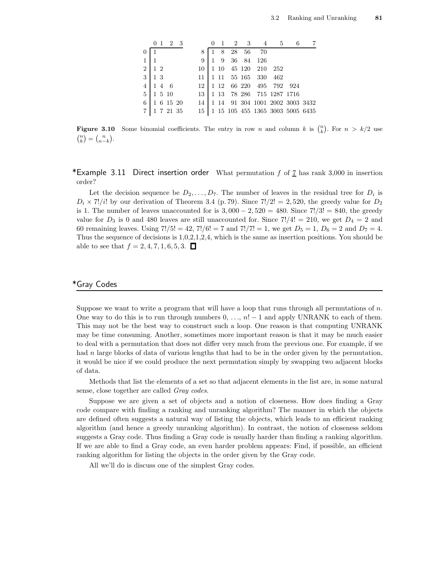|                | 0 <sub>1</sub> | 2 3                                   |      |   | 2 3 |                     | 5                                                |  |
|----------------|----------------|---------------------------------------|------|---|-----|---------------------|--------------------------------------------------|--|
|                |                |                                       | 8    | 8 |     | 28 56 70            |                                                  |  |
| $\mathbf{1}$   |                |                                       | 9    | 9 |     | 36 84 126           |                                                  |  |
| $\overline{2}$ | 1 <sub>2</sub> |                                       | 10   |   |     | 1 10 45 120 210 252 |                                                  |  |
| 3              | 13             |                                       |      |   |     | 1 11 55 165 330 462 |                                                  |  |
|                | $1\,4$         | - 6                                   | 12 l |   |     |                     | $1\ 12\quad 66\ 220\quad 495\quad 792\quad 924$  |  |
| 5              | 1 5 10         |                                       | 13 I |   |     |                     | 1 13 78 286 715 1287 1716                        |  |
| 6              | 1 6 15 20      |                                       |      |   |     |                     | 14   1 14 91 304 1001 2002 3003 3432             |  |
|                |                | $7\hspace{0.1cm} 21\hspace{0.1cm} 35$ | 15   |   |     |                     | $1 \ 15 \ 105 \ 455 \ 1365 \ 3003 \ 5005 \ 6435$ |  |
|                |                |                                       |      |   |     |                     |                                                  |  |

**Figure 3.10** Some binomial coefficients. The entry in row n and column k is  $\binom{n}{k}$ . For  $n > k/2$  use  $\binom{n}{k} = \binom{n}{n-k}.$ 

\*Example 3.11 Direct insertion order What permutation f of  $\overline{I}$  has rank 3,000 in insertion order?

Let the decision sequence be  $D_2, \ldots, D_7$ . The number of leaves in the residual tree for  $D_i$  is  $D_i \times 7!/i!$  by our derivation of Theorem 3.4 (p. 79). Since 7!/2! = 2,520, the greedy value for  $D_2$ is 1. The number of leaves unaccounted for is  $3,000 - 2,520 = 480$ . Since  $7!/3! = 840$ , the greedy value for  $D_3$  is 0 and 480 leaves are still unaccounted for. Since 7!/4! = 210, we get  $D_4 = 2$  and 60 remaining leaves. Using  $7!/5! = 42, 7!/6! = 7$  and  $7!/7! = 1$ , we get  $D_5 = 1, D_6 = 2$  and  $D_7 = 4$ . Thus the sequence of decisions is 1,0,2,1,2,4, which is the same as insertion positions. You should be able to see that  $f = 2, 4, 7, 1, 6, 5, 3$ .

### \*Gray Codes

Suppose we want to write a program that will have a loop that runs through all permutations of  $n$ . One way to do this is to run through numbers  $0, \ldots, n! - 1$  and apply UNRANK to each of them. This may not be the best way to construct such a loop. One reason is that computing UNRANK may be time consuming. Another, sometimes more important reason is that it may be much easier to deal with a permutation that does not differ very much from the previous one. For example, if we had n large blocks of data of various lengths that had to be in the order given by the permutation, it would be nice if we could produce the next permutation simply by swapping two adjacent blocks of data.

Methods that list the elements of a set so that adjacent elements in the list are, in some natural sense, close together are called Gray codes.

Suppose we are given a set of objects and a notion of closeness. How does finding a Gray code compare with finding a ranking and unranking algorithm? The manner in which the objects are defined often suggests a natural way of listing the objects, which leads to an efficient ranking algorithm (and hence a greedy unranking algorithm). In contrast, the notion of closeness seldom suggests a Gray code. Thus finding a Gray code is usually harder than finding a ranking algorithm. If we are able to find a Gray code, an even harder problem appears: Find, if possible, an efficient ranking algorithm for listing the objects in the order given by the Gray code.

All we'll do is discuss one of the simplest Gray codes.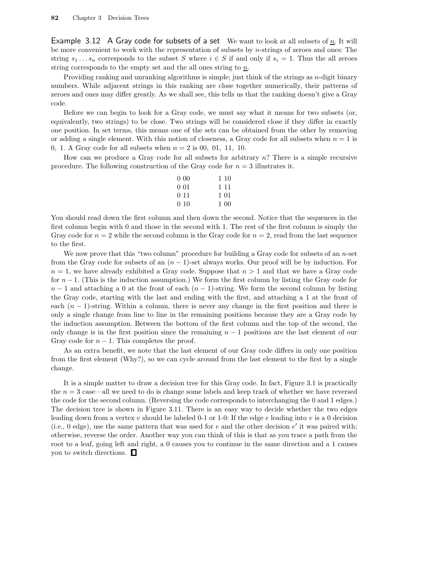Example 3.12 A Gray code for subsets of a set We want to look at all subsets of  $\underline{n}$ . It will be more convenient to work with the representation of subsets by  $n$ -strings of zeroes and ones: The string  $s_1 \ldots s_n$  corresponds to the subset S where  $i \in S$  if and only if  $s_i = 1$ . Thus the all zeroes string corresponds to the empty set and the all ones string to  $n$ .

Providing ranking and unranking algorithms is simple; just think of the strings as  $n$ -digit binary numbers. While adjacent strings in this ranking are close together numerically, their patterns of zeroes and ones may differ greatly. As we shall see, this tells us that the ranking doesn't give a Gray code.

Before we can begin to look for a Gray code, we must say what it means for two subsets (or, equivalently, two strings) to be close. Two strings will be considered close if they differ in exactly one position. In set terms, this means one of the sets can be obtained from the other by removing or adding a single element. With this notion of closeness, a Gray code for all subsets when  $n = 1$  is 0, 1. A Gray code for all subsets when  $n = 2$  is 00, 01, 11, 10.

How can we produce a Gray code for all subsets for arbitrary  $n$ ? There is a simple recursive procedure. The following construction of the Gray code for  $n = 3$  illustrates it.

| 0.00  | 1 10 |
|-------|------|
| 0.01  | 1 11 |
| 0 1 1 | 1 01 |
| O 10  | 1 00 |

You should read down the first column and then down the second. Notice that the sequences in the first column begin with 0 and those in the second with 1. The rest of the first column is simply the Gray code for  $n = 2$  while the second column is the Gray code for  $n = 2$ , read from the last sequence to the first.

We now prove that this "two column" procedure for building a Gray code for subsets of an *n*-set from the Gray code for subsets of an  $(n - 1)$ -set always works. Our proof will be by induction. For  $n = 1$ , we have already exhibited a Gray code. Suppose that  $n > 1$  and that we have a Gray code for  $n-1$ . (This is the induction assumption.) We form the first column by listing the Gray code for  $n-1$  and attaching a 0 at the front of each  $(n-1)$ -string. We form the second column by listing the Gray code, starting with the last and ending with the first, and attaching a 1 at the front of each  $(n-1)$ -string. Within a column, there is never any change in the first position and there is only a single change from line to line in the remaining positions because they are a Gray code by the induction assumption. Between the bottom of the first column and the top of the second, the only change is in the first position since the remaining  $n - 1$  positions are the last element of our Gray code for  $n-1$ . This completes the proof.

As an extra benefit, we note that the last element of our Gray code differs in only one position from the first element (Why?), so we can cycle around from the last element to the first by a single change.

It is a simple matter to draw a decision tree for this Gray code. In fact, Figure 3.1 is practically the  $n = 3$  case—all we need to do is change some labels and keep track of whether we have reversed the code for the second column. (Reversing the code corresponds to interchanging the 0 and 1 edges.) The decision tree is shown in Figure 3.11. There is an easy way to decide whether the two edges leading down from a vertex v should be labeled 0-1 or 1-0: If the edge e leading into v is a 0 decision (i.e., 0 edge), use the same pattern that was used for  $e$  and the other decision  $e'$  it was paired with; otherwise, reverse the order. Another way you can think of this is that as you trace a path from the root to a leaf, going left and right, a 0 causes you to continue in the same direction and a 1 causes you to switch directions.  $\Box$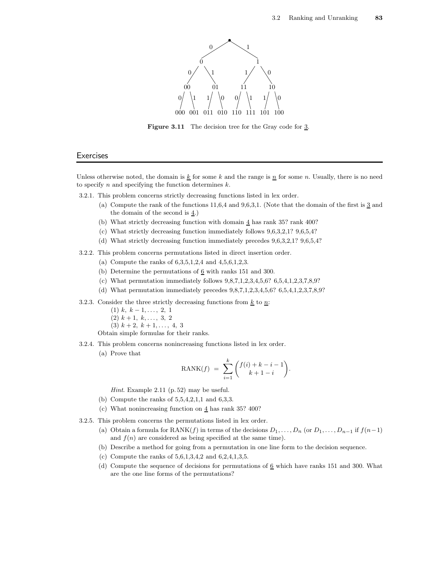

**Figure 3.11** The decision tree for the Gray code for 3.

## **Exercises**

Unless otherwise noted, the domain is  $\underline{k}$  for some k and the range is  $\underline{n}$  for some n. Usually, there is no need to specify n and specifying the function determines  $k$ .

3.2.1. This problem concerns strictly decreasing functions listed in lex order.

- (a) Compute the rank of the functions 11,6,4 and 9,6,3,1. (Note that the domain of the first is  $\frac{3}{2}$  and the domain of the second is  $\underline{4}$ .
- (b) What strictly decreasing function with domain  $4$  has rank 35? rank 400?
- (c) What strictly decreasing function immediately follows 9,6,3,2,1? 9,6,5,4?
- (d) What strictly decreasing function immediately precedes 9,6,3,2,1? 9,6,5,4?

3.2.2. This problem concerns permutations listed in direct insertion order.

- (a) Compute the ranks of 6,3,5,1,2,4 and 4,5,6,1,2,3.
- (b) Determine the permutations of  $6$  with ranks 151 and 300.
- (c) What permutation immediately follows 9,8,7,1,2,3,4,5,6? 6,5,4,1,2,3,7,8,9?
- (d) What permutation immediately precedes 9,8,7,1,2,3,4,5,6? 6,5,4,1,2,3,7,8,9?
- 3.2.3. Consider the three strictly decreasing functions from  $\underline{k}$  to  $\underline{n}$ :
	- $(1)$  k,  $k-1, \ldots, 2, 1$
	- $(2)$   $k+1$ ,  $k$ , ..., 3, 2

 $(3)$   $k+2$ ,  $k+1, \ldots, 4, 3$ 

Obtain simple formulas for their ranks.

- 3.2.4. This problem concerns nonincreasing functions listed in lex order.
	- (a) Prove that

$$
RANK(f) = \sum_{i=1}^{k} {f(i) + k - i - 1 \choose k + 1 - i}.
$$

Hint. Example 2.11 (p. 52) may be useful.

- (b) Compute the ranks of 5,5,4,2,1,1 and 6,3,3.
- (c) What nonincreasing function on  $\frac{4}{3}$  has rank 35? 400?
- 3.2.5. This problem concerns the permutations listed in lex order.
	- (a) Obtain a formula for RANK $(f)$  in terms of the decisions  $D_1, \ldots, D_n$  (or  $D_1, \ldots, D_{n-1}$  if  $f(n-1)$ ) and  $f(n)$  are considered as being specified at the same time).
	- (b) Describe a method for going from a permutation in one line form to the decision sequence.
	- (c) Compute the ranks of 5,6,1,3,4,2 and 6,2,4,1,3,5.
	- (d) Compute the sequence of decisions for permutations of  $6 \text{ which have ranks } 151 \text{ and } 300$ . What are the one line forms of the permutations?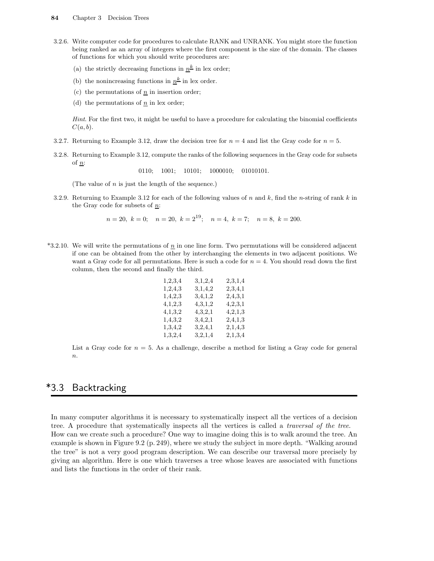- 3.2.6. Write computer code for procedures to calculate RANK and UNRANK. You might store the function being ranked as an array of integers where the first component is the size of the domain. The classes of functions for which you should write procedures are:
	- (a) the strictly decreasing functions in  $n^{\underline{k}}$  in lex order;
	- (b) the nonincreasing functions in  $n^{\underline{k}}$  in lex order.
	- (c) the permutations of  $\underline{n}$  in insertion order;
	- (d) the permutations of  $\underline{n}$  in lex order;

Hint. For the first two, it might be useful to have a procedure for calculating the binomial coefficients  $C(a, b)$ .

- 3.2.7. Returning to Example 3.12, draw the decision tree for  $n = 4$  and list the Gray code for  $n = 5$ .
- 3.2.8. Returning to Example 3.12, compute the ranks of the following sequences in the Gray code for subsets of  $\underline{n}$ :

0110; 1001; 10101; 1000010; 01010101.

(The value of  $n$  is just the length of the sequence.)

3.2.9. Returning to Example 3.12 for each of the following values of n and k, find the n-string of rank  $k$  in the Gray code for subsets of  $n$ :

$$
n = 20, k = 0;
$$
  $n = 20, k = 219;$   $n = 4, k = 7;$   $n = 8, k = 200.$ 

\*3.2.10. We will write the permutations of  $\underline{n}$  in one line form. Two permutations will be considered adjacent if one can be obtained from the other by interchanging the elements in two adjacent positions. We want a Gray code for all permutations. Here is such a code for  $n = 4$ . You should read down the first column, then the second and finally the third.

| 1,2,3,4 | 3,1,2,4 | 2,3,1,4 |
|---------|---------|---------|
| 1,2,4,3 | 3,1,4,2 | 2,3,4,1 |
| 1,4,2,3 | 3,4,1,2 | 2,4,3,1 |
| 4,1,2,3 | 4,3,1,2 | 4,2,3,1 |
| 4,1,3,2 | 4,3,2,1 | 4,2,1,3 |
| 1,4,3,2 | 3,4,2,1 | 2,4,1,3 |
| 1,3,4,2 | 3,2,4,1 | 2,1,4,3 |
| 1,3,2,4 | 3,2,1,4 | 2,1,3,4 |

List a Gray code for  $n = 5$ . As a challenge, describe a method for listing a Gray code for general  $n<sub>1</sub>$ 

# \*3.3 Backtracking

In many computer algorithms it is necessary to systematically inspect all the vertices of a decision tree. A procedure that systematically inspects all the vertices is called a traversal of the tree. How can we create such a procedure? One way to imagine doing this is to walk around the tree. An example is shown in Figure 9.2 (p. 249), where we study the subject in more depth. "Walking around the tree" is not a very good program description. We can describe our traversal more precisely by giving an algorithm. Here is one which traverses a tree whose leaves are associated with functions and lists the functions in the order of their rank.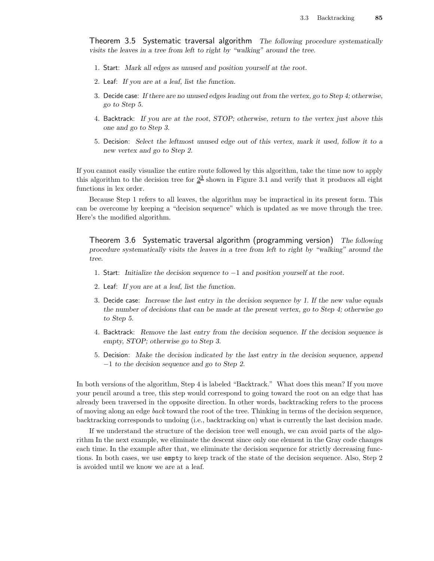Theorem 3.5 Systematic traversal algorithm The following procedure systematically visits the leaves in a tree from left to right by "walking" around the tree.

- 1. Start: Mark all edges as unused and position yourself at the root.
- 2. Leaf: If you are at a leaf, list the function.
- 3. Decide case: If there are no unused edges leading out from the vertex, go to Step 4; otherwise, go to Step 5.
- 4. Backtrack: If you are at the root, STOP; otherwise, return to the vertex just above this one and go to Step 3.
- 5. Decision: Select the leftmost unused edge out of this vertex, mark it used, follow it to a new vertex and go to Step 2.

If you cannot easily visualize the entire route followed by this algorithm, take the time now to apply this algorithm to the decision tree for  $2^3$  shown in Figure 3.1 and verify that it produces all eight functions in lex order.

Because Step 1 refers to all leaves, the algorithm may be impractical in its present form. This can be overcome by keeping a "decision sequence" which is updated as we move through the tree. Here's the modified algorithm.

Theorem 3.6 Systematic traversal algorithm (programming version) The following procedure systematically visits the leaves in a tree from left to right by "walking" around the tree.

- 1. Start: Initialize the decision sequence to −1 and position yourself at the root.
- 2. Leaf: If you are at a leaf, list the function.
- 3. Decide case: Increase the last entry in the decision sequence by 1. If the new value equals the number of decisions that can be made at the present vertex, go to Step 4; otherwise go to Step 5.
- 4. Backtrack: Remove the last entry from the decision sequence. If the decision sequence is empty, STOP; otherwise go to Step 3.
- 5. Decision: Make the decision indicated by the last entry in the decision sequence, append −1 to the decision sequence and go to Step 2.

In both versions of the algorithm, Step 4 is labeled "Backtrack." What does this mean? If you move your pencil around a tree, this step would correspond to going toward the root on an edge that has already been traversed in the opposite direction. In other words, backtracking refers to the process of moving along an edge back toward the root of the tree. Thinking in terms of the decision sequence, backtracking corresponds to undoing (i.e., backtracking on) what is currently the last decision made.

If we understand the structure of the decision tree well enough, we can avoid parts of the algorithm In the next example, we eliminate the descent since only one element in the Gray code changes each time. In the example after that, we eliminate the decision sequence for strictly decreasing functions. In both cases, we use empty to keep track of the state of the decision sequence. Also, Step 2 is avoided until we know we are at a leaf.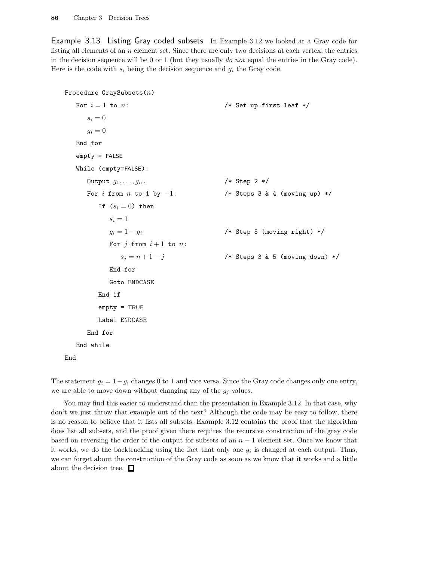Example 3.13 Listing Gray coded subsets In Example 3.12 we looked at a Gray code for listing all elements of an n element set. Since there are only two decisions at each vertex, the entries in the decision sequence will be 0 or 1 (but they usually do not equal the entries in the Gray code). Here is the code with  $s_i$  being the decision sequence and  $g_i$  the Gray code.

```
Procedure GraySubsets(n)For i = 1 to n: \angle /* Set up first leaf */
     s_i = 0g_i = 0End for
   empty = FALSE
  While (empty=FALSE):
     Output g_1, \ldots, g_n. \qquad \qquad /* Step 2 */
     For i from n to 1 by -1: /* Steps 3 & 4 (moving up) */
        If (s_i = 0) then
           s_i = 1g_i = 1 - g_i /* Step 5 (moving right) */
           For j from i+1 to n:
             s_j = n + 1 - j /* Steps 3 & 5 (moving down) */
           End for
           Goto ENDCASE
        End if
        empty = TRUE
        Label ENDCASE
     End for
  End while
End
```
The statement  $g_i = 1 - g_i$  changes 0 to 1 and vice versa. Since the Gray code changes only one entry, we are able to move down without changing any of the  $g_i$  values.

You may find this easier to understand than the presentation in Example 3.12. In that case, why don't we just throw that example out of the text? Although the code may be easy to follow, there is no reason to believe that it lists all subsets. Example 3.12 contains the proof that the algorithm does list all subsets, and the proof given there requires the recursive construction of the gray code based on reversing the order of the output for subsets of an  $n-1$  element set. Once we know that it works, we do the backtracking using the fact that only one  $g_i$  is changed at each output. Thus, we can forget about the construction of the Gray code as soon as we know that it works and a little about the decision tree.  $\Box$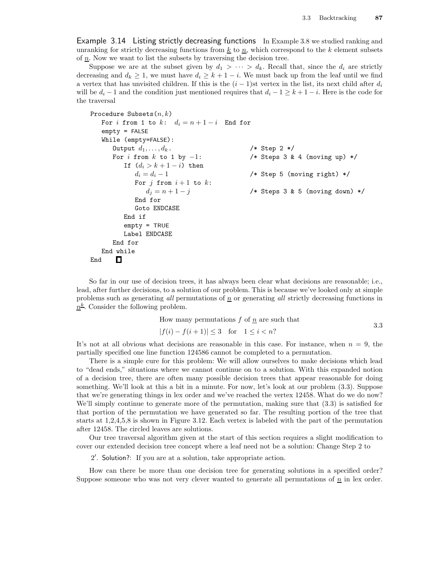Example 3.14 Listing strictly decreasing functions In Example 3.8 we studied ranking and unranking for strictly decreasing functions from  $\underline{k}$  to  $\underline{n}$ , which correspond to the k element subsets of  $\underline{n}$ . Now we want to list the subsets by traversing the decision tree.

Suppose we are at the subset given by  $d_1 > \cdots > d_k$ . Recall that, since the  $d_i$  are strictly decreasing and  $d_k \geq 1$ , we must have  $d_i \geq k+1-i$ . We must back up from the leaf until we find a vertex that has unvisited children. If this is the  $(i - 1)$ st vertex in the list, its next child after  $d_i$ will be  $d_i - 1$  and the condition just mentioned requires that  $d_i - 1 \geq k + 1 - i$ . Here is the code for the traversal

```
Procedure Subsets(n, k)For i from 1 to k: d_i = n + 1 - i End for
   empty = FALSE
   While (empty=FALSE):
     Output d_1, \ldots, d_k. /* Step 2 */
     For i from k to 1 by -1: \hspace{1cm} /* Steps 3 & 4 (moving up) */
        If (d_i > k + 1 - i) then
           d_i = d_i - 1 /* Step 5 (moving right) */
           For j from i+1 to k:
              d_i = n + 1 - j /* Steps 3 & 5 (moving down) */
           End for
           Goto ENDCASE
        End if
        empty = TRUE
        Label ENDCASE
     End for
   End while
End
      \Box
```
So far in our use of decision trees, it has always been clear what decisions are reasonable; i.e., lead, after further decisions, to a solution of our problem. This is because we've looked only at simple problems such as generating all permutations of  $\underline{n}$  or generating all strictly decreasing functions in  $n^{\underline{k}}$ . Consider the following problem.

> How many permutations  $f$  of  $\underline{n}$  are such that  $|f(i) - f(i+1)| \leq 3$  for  $1 \leq i < n$ ? 3.3

It's not at all obvious what decisions are reasonable in this case. For instance, when  $n = 9$ , the partially specified one line function 124586 cannot be completed to a permutation.

There is a simple cure for this problem: We will allow ourselves to make decisions which lead to "dead ends," situations where we cannot continue on to a solution. With this expanded notion of a decision tree, there are often many possible decision trees that appear reasonable for doing something. We'll look at this a bit in a minute. For now, let's look at our problem (3.3). Suppose that we're generating things in lex order and we've reached the vertex 12458. What do we do now? We'll simply continue to generate more of the permutation, making sure that (3.3) is satisfied for that portion of the permutation we have generated so far. The resulting portion of the tree that starts at 1,2,4,5,8 is shown in Figure 3.12. Each vertex is labeled with the part of the permutation after 12458. The circled leaves are solutions.

Our tree traversal algorithm given at the start of this section requires a slight modification to cover our extended decision tree concept where a leaf need not be a solution: Change Step 2 to

2 0 . Solution?: If you are at a solution, take appropriate action.

How can there be more than one decision tree for generating solutions in a specified order? Suppose someone who was not very clever wanted to generate all permutations of  $\underline{n}$  in lex order.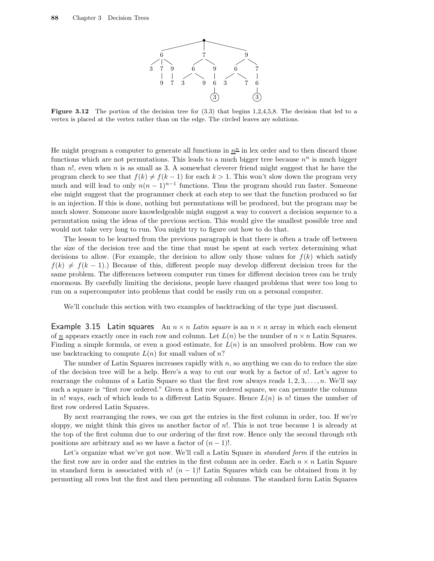

Figure 3.12 The portion of the decision tree for (3.3) that begins 1,2,4,5,8. The decision that led to a vertex is placed at the vertex rather than on the edge. The circled leaves are solutions.

He might program a computer to generate all functions in  $\underline{n}^{\underline{n}}$  in lex order and to then discard those functions which are not permutations. This leads to a much bigger tree because  $n^n$  is much bigger than  $n!$ , even when  $n$  is as small as 3. A somewhat cleverer friend might suggest that he have the program check to see that  $f(k) \neq f(k - 1)$  for each  $k > 1$ . This won't slow down the program very much and will lead to only  $n(n-1)^{n-1}$  functions. Thus the program should run faster. Someone else might suggest that the programmer check at each step to see that the function produced so far is an injection. If this is done, nothing but permutations will be produced, but the program may be much slower. Someone more knowledgeable might suggest a way to convert a decision sequence to a permutation using the ideas of the previous section. This would give the smallest possible tree and would not take very long to run. You might try to figure out how to do that.

The lesson to be learned from the previous paragraph is that there is often a trade off between the size of the decision tree and the time that must be spent at each vertex determining what decisions to allow. (For example, the decision to allow only those values for  $f(k)$  which satisfy  $f(k) \neq f(k - 1)$ .) Because of this, different people may develop different decision trees for the same problem. The differences between computer run times for different decision trees can be truly enormous. By carefully limiting the decisions, people have changed problems that were too long to run on a supercomputer into problems that could be easily run on a personal computer.

We'll conclude this section with two examples of backtracking of the type just discussed.

**Example 3.15 Latin squares** An  $n \times n$  Latin square is an  $n \times n$  array in which each element of n appears exactly once in each row and column. Let  $L(n)$  be the number of  $n \times n$  Latin Squares. Finding a simple formula, or even a good estimate, for  $L(n)$  is an unsolved problem. How can we use backtracking to compute  $L(n)$  for small values of n?

The number of Latin Squares increases rapidly with  $n$ , so anything we can do to reduce the size of the decision tree will be a help. Here's a way to cut our work by a factor of  $n!$ . Let's agree to rearrange the columns of a Latin Square so that the first row always reads  $1, 2, 3, \ldots, n$ . We'll say such a square is "first row ordered." Given a first row ordered square, we can permute the columns in n! ways, each of which leads to a different Latin Square. Hence  $L(n)$  is n! times the number of first row ordered Latin Squares.

By next rearranging the rows, we can get the entries in the first column in order, too. If we're sloppy, we might think this gives us another factor of  $n!$ . This is not true because 1 is already at the top of the first column due to our ordering of the first row. Hence only the second through nth positions are arbitrary and so we have a factor of  $(n - 1)!$ .

Let's organize what we've got now. We'll call a Latin Square in *standard form* if the entries in the first row are in order and the entries in the first column are in order. Each  $n \times n$  Latin Square in standard form is associated with n!  $(n - 1)!$  Latin Squares which can be obtained from it by permuting all rows but the first and then permuting all columns. The standard form Latin Squares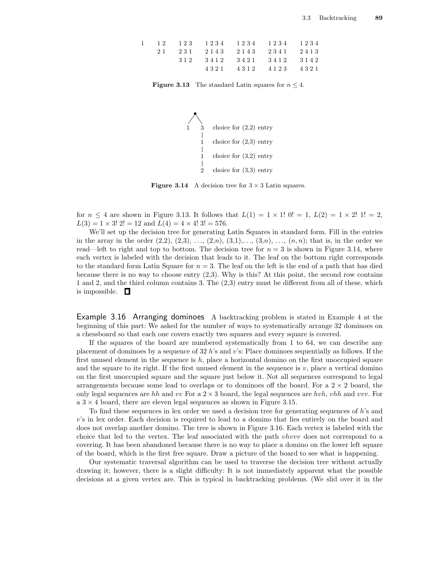|  |  | $1 \quad 12 \quad 123 \quad 1234 \quad 1234 \quad 1234 \quad 1234$ |  |
|--|--|--------------------------------------------------------------------|--|
|  |  | 21 231 2143 2143 2341 2413                                         |  |
|  |  | 3 1 2 3 4 1 2 3 4 2 1 3 4 1 2 3 1 4 2                              |  |
|  |  | 4321 4312 4123 4321                                                |  |

**Figure 3.13** The standard Latin squares for  $n \leq 4$ .



**Figure 3.14** A decision tree for  $3 \times 3$  Latin squares.

for  $n \leq 4$  are shown in Figure 3.13. It follows that  $L(1) = 1 \times 1!$   $0! = 1$ ,  $L(2) = 1 \times 2!$   $1! = 2$ ,  $L(3) = 1 \times 3! \cdot 2! = 12$  and  $L(4) = 4 \times 4! \cdot 3! = 576$ .

We'll set up the decision tree for generating Latin Squares in standard form. Fill in the entries in the array in the order  $(2,2), (2,3), \ldots, (2,n), (3,1), \ldots, (3,n), \ldots, (n,n)$ ; that is, in the order we read—left to right and top to bottom. The decision tree for  $n = 3$  is shown in Figure 3.14, where each vertex is labeled with the decision that leads to it. The leaf on the bottom right corresponds to the standard form Latin Square for  $n = 3$ . The leaf on the left is the end of a path that has died because there is no way to choose entry (2,3). Why is this? At this point, the second row contains 1 and 2, and the third column contains 3. The (2,3) entry must be different from all of these, which is impossible.  $\square$ 

Example 3.16 Arranging dominoes A backtracking problem is stated in Example 4 at the beginning of this part: We asked for the number of ways to systematically arrange 32 dominoes on a chessboard so that each one covers exactly two squares and every square is covered.

If the squares of the board are numbered systematically from 1 to 64, we can describe any placement of dominoes by a sequence of 32 h's and v's: Place dominoes sequentially as follows. If the first unused element in the sequence is  $h$ , place a horizontal domino on the first unoccupied square and the square to its right. If the first unused element in the sequence is  $v$ , place a vertical domino on the first unoccupied square and the square just below it. Not all sequences correspond to legal arrangements because some lead to overlaps or to dominoes off the board. For a  $2 \times 2$  board, the only legal sequences are hh and vv For a  $2 \times 3$  board, the legal sequences are hvh, vhh and vvv. For a  $3 \times 4$  board, there are eleven legal sequences as shown in Figure 3.15.

To find these sequences in lex order we used a decision tree for generating sequences of h's and v's in lex order. Each decision is required to lead to a domino that lies entirely on the board and does not overlap another domino. The tree is shown in Figure 3.16. Each vertex is labeled with the choice that led to the vertex. The leaf associated with the path *vhvvv* does not correspond to a covering. It has been abandoned because there is no way to place a domino on the lower left square of the board, which is the first free square. Draw a picture of the board to see what is happening.

Our systematic traversal algorithm can be used to traverse the decision tree without actually drawing it; however, there is a slight difficulty: It is not immediately apparent what the possible decisions at a given vertex are. This is typical in backtracking problems. (We slid over it in the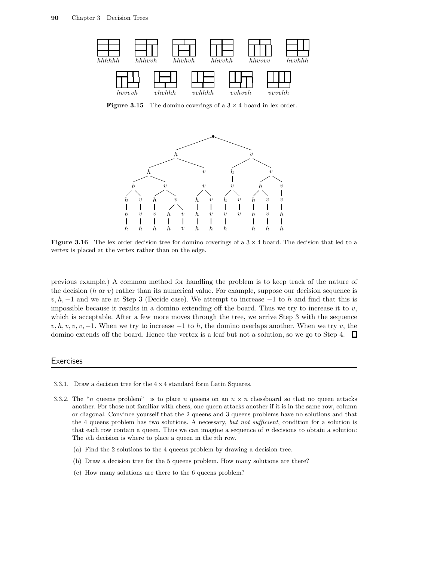

**Figure 3.15** The domino coverings of a  $3 \times 4$  board in lex order.



**Figure 3.16** The lex order decision tree for domino coverings of a  $3 \times 4$  board. The decision that led to a vertex is placed at the vertex rather than on the edge.

previous example.) A common method for handling the problem is to keep track of the nature of the decision (h or v) rather than its numerical value. For example, suppose our decision sequence is  $v, h, -1$  and we are at Step 3 (Decide case). We attempt to increase  $-1$  to h and find that this is impossible because it results in a domino extending off the board. Thus we try to increase it to  $v$ , which is acceptable. After a few more moves through the tree, we arrive Step 3 with the sequence  $v, h, v, v, v, -1$ . When we try to increase  $-1$  to h, the domino overlaps another. When we try v, the domino extends off the board. Hence the vertex is a leaf but not a solution, so we go to Step 4.  $\Box$ 

#### **Exercises**

- 3.3.1. Draw a decision tree for the  $4 \times 4$  standard form Latin Squares.
- 3.3.2. The "n queens problem" is to place n queens on an  $n \times n$  chessboard so that no queen attacks another. For those not familiar with chess, one queen attacks another if it is in the same row, column or diagonal. Convince yourself that the 2 queens and 3 queens problems have no solutions and that the 4 queens problem has two solutions. A necessary, but not sufficient, condition for a solution is that each row contain a queen. Thus we can imagine a sequence of  $n$  decisions to obtain a solution: The *i*th decision is where to place a queen in the *i*th row.
	- (a) Find the 2 solutions to the 4 queens problem by drawing a decision tree.
	- (b) Draw a decision tree for the 5 queens problem. How many solutions are there?
	- (c) How many solutions are there to the 6 queens problem?